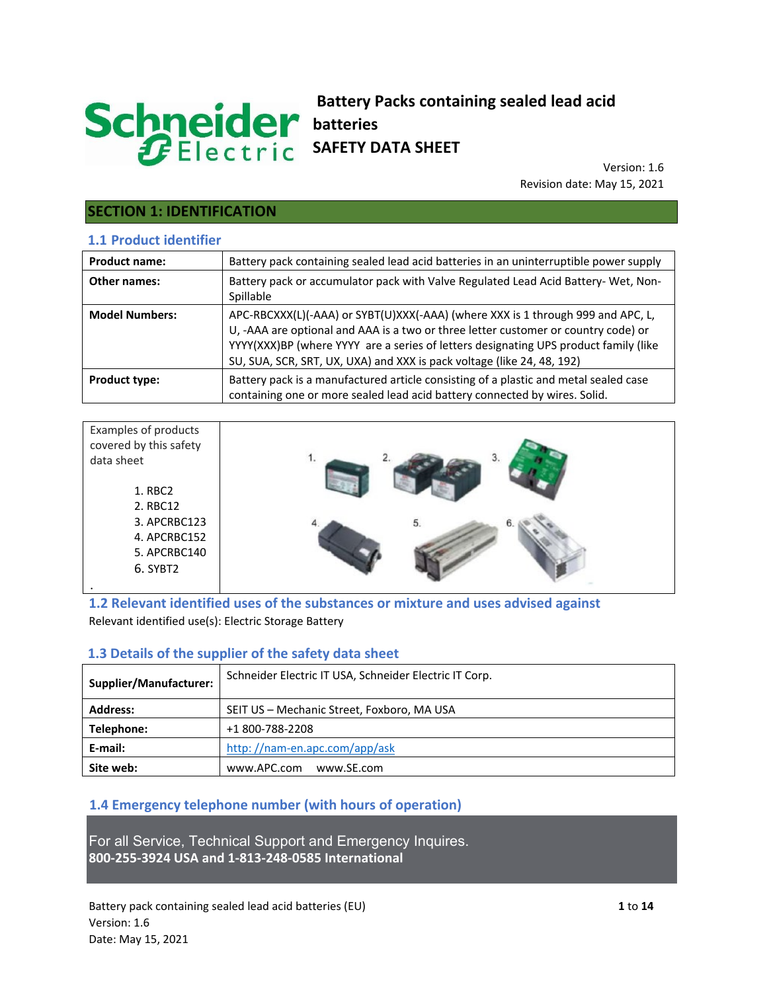# Schneider

## **Battery Packs containing sealed lead acid batteries SAFETY DATA SHEET**

Version: 1.6 Revision date: May 15, 2021

# **SECTION 1: IDENTIFICATION**

#### **1.1 Product identifier**

| <b>Product name:</b>  | Battery pack containing sealed lead acid batteries in an uninterruptible power supply                                                                                                                                                                                                                                                   |
|-----------------------|-----------------------------------------------------------------------------------------------------------------------------------------------------------------------------------------------------------------------------------------------------------------------------------------------------------------------------------------|
| Other names:          | Battery pack or accumulator pack with Valve Regulated Lead Acid Battery- Wet, Non-<br>Spillable                                                                                                                                                                                                                                         |
| <b>Model Numbers:</b> | APC-RBCXXX(L)(-AAA) or SYBT(U)XXX(-AAA) (where XXX is 1 through 999 and APC, L,<br>U, -AAA are optional and AAA is a two or three letter customer or country code) or<br>YYYY(XXX)BP (where YYYY are a series of letters designating UPS product family (like<br>SU, SUA, SCR, SRT, UX, UXA) and XXX is pack voltage (like 24, 48, 192) |
| <b>Product type:</b>  | Battery pack is a manufactured article consisting of a plastic and metal sealed case<br>containing one or more sealed lead acid battery connected by wires. Solid.                                                                                                                                                                      |

| Examples of products<br>covered by this safety |    |
|------------------------------------------------|----|
| data sheet                                     |    |
| 1. RBC2                                        |    |
| 2. RBC12                                       |    |
| 3. APCRBC123                                   | 5. |
| 4. APCRBC152                                   |    |
| 5. APCRBC140                                   |    |
| 6. SYBT2                                       |    |
|                                                |    |

**1.2 Relevant identified uses of the substances or mixture and uses advised against**  Relevant identified use(s): Electric Storage Battery

#### **1.3 Details of the supplier of the safety data sheet**

| Supplier/Manufacturer: | Schneider Electric IT USA, Schneider Electric IT Corp. |  |
|------------------------|--------------------------------------------------------|--|
| <b>Address:</b>        | SEIT US - Mechanic Street, Foxboro, MA USA             |  |
| Telephone:             | +1 800-788-2208                                        |  |
| E-mail:                | http://nam-en.apc.com/app/ask                          |  |
| Site web:              | www.APC.com<br>www.SE.com                              |  |

#### **1.4 Emergency telephone number (with hours of operation)**

For all Service, Technical Support and Emergency Inquires. **800-255-3924 USA and 1-813-248-0585 International**

Battery pack containing sealed lead acid batteries (EU) **1** to **14** Version: 1.6 Date: May 15, 2021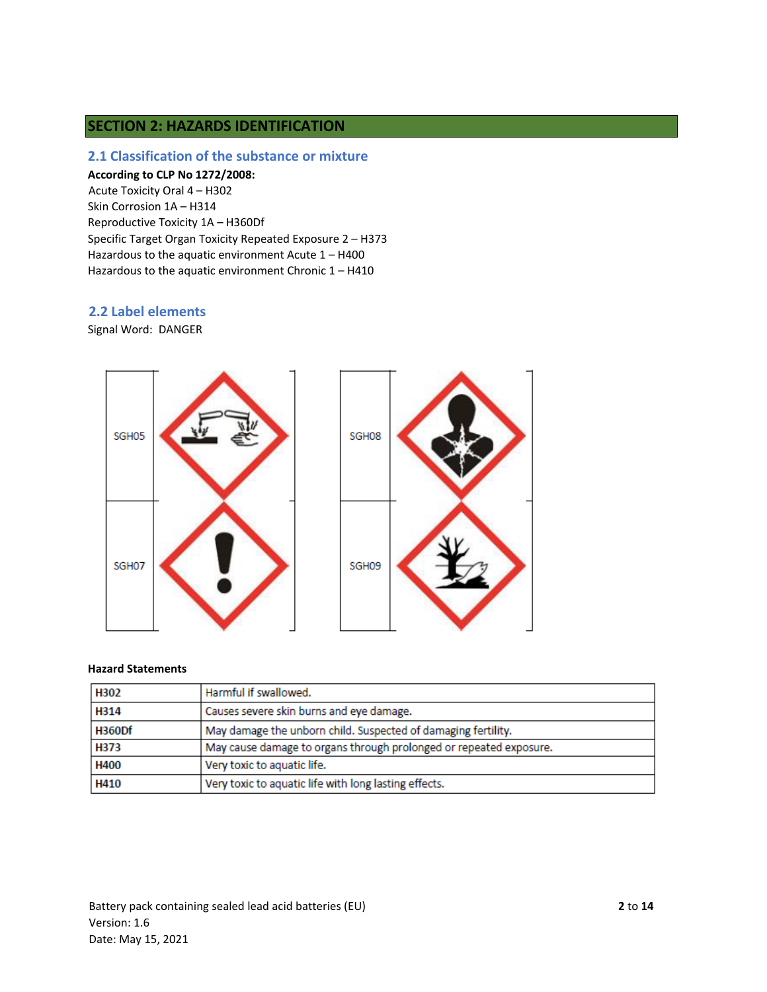#### **SECTION 2: HAZARDS IDENTIFICATION**

#### **2.1 Classification of the substance or mixture**

#### **According to CLP No 1272/2008:**

Acute Toxicity Oral 4 – H302 Skin Corrosion 1A – H314 Reproductive Toxicity 1A – H360Df Specific Target Organ Toxicity Repeated Exposure 2 – H373 Hazardous to the aquatic environment Acute 1 – H400 Hazardous to the aquatic environment Chronic 1 – H410

#### **2.2 Label elements**

Signal Word: DANGER



#### **Hazard Statements**

| H302          | Harmful if swallowed.                                              |
|---------------|--------------------------------------------------------------------|
| H314          | Causes severe skin burns and eye damage.                           |
| <b>H360Df</b> | May damage the unborn child. Suspected of damaging fertility.      |
| H373          | May cause damage to organs through prolonged or repeated exposure. |
| <b>H400</b>   | Very toxic to aquatic life.                                        |
| H410          | Very toxic to aquatic life with long lasting effects.              |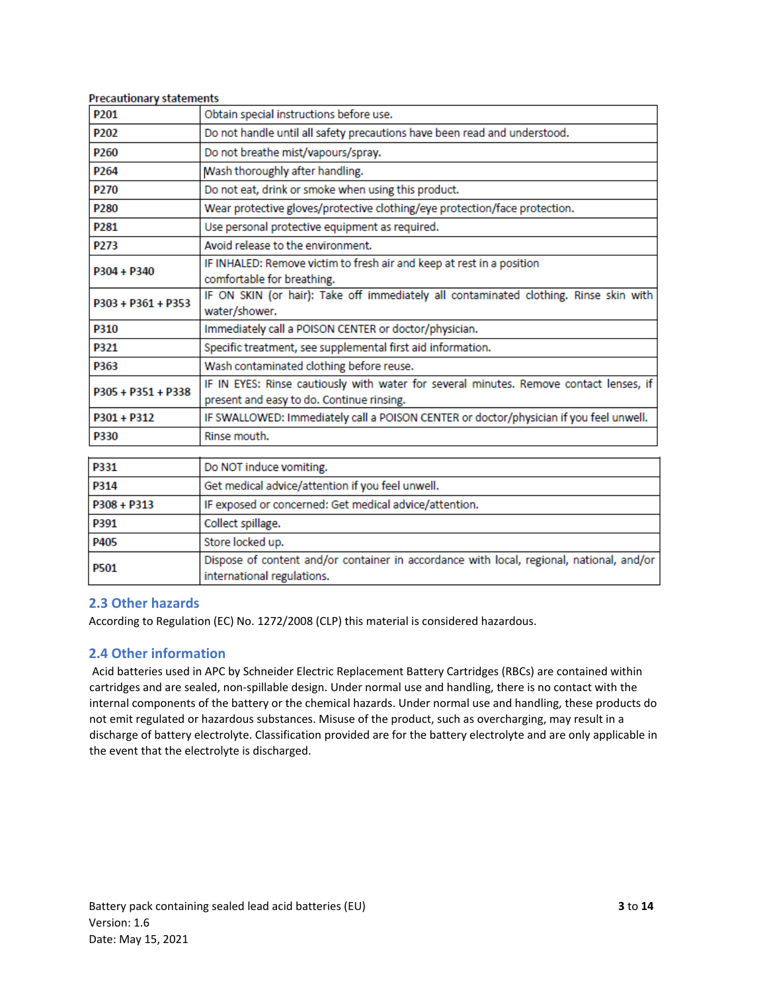| Precautionary statements |                                                                                                                                     |
|--------------------------|-------------------------------------------------------------------------------------------------------------------------------------|
| P <sub>201</sub>         | Obtain special instructions before use.                                                                                             |
| P <sub>202</sub>         | Do not handle until all safety precautions have been read and understood.                                                           |
| P <sub>260</sub>         | Do not breathe mist/vapours/spray.                                                                                                  |
| P <sub>264</sub>         | Wash thoroughly after handling.                                                                                                     |
| P <sub>270</sub>         | Do not eat, drink or smoke when using this product.                                                                                 |
| P <sub>280</sub>         | Wear protective gloves/protective clothing/eye protection/face protection.                                                          |
| P <sub>281</sub>         | Use personal protective equipment as required.                                                                                      |
| P273                     | Avoid release to the environment.                                                                                                   |
| $P304 + P340$            | IF INHALED: Remove victim to fresh air and keep at rest in a position<br>comfortable for breathing.                                 |
| $P303 + P361 + P353$     | IF ON SKIN (or hair): Take off immediately all contaminated clothing. Rinse skin with<br>water/shower.                              |
| <b>P310</b>              | Immediately call a POISON CENTER or doctor/physician.                                                                               |
| P321                     | Specific treatment, see supplemental first aid information.                                                                         |
| P363                     | Wash contaminated clothing before reuse.                                                                                            |
| P305 + P351 + P338       | IF IN EYES: Rinse cautiously with water for several minutes. Remove contact lenses, if<br>present and easy to do. Continue rinsing. |
| P301 + P312              | IF SWALLOWED: Immediately call a POISON CENTER or doctor/physician if you feel unwell.                                              |
| P330                     | Rinse mouth.                                                                                                                        |
|                          |                                                                                                                                     |

| P331          | Do NOT induce vomiting.                                                                                                |
|---------------|------------------------------------------------------------------------------------------------------------------------|
| P314          | Get medical advice/attention if you feel unwell.                                                                       |
| $P308 + P313$ | IF exposed or concerned: Get medical advice/attention.                                                                 |
| P391          | Collect spillage.                                                                                                      |
| P405          | Store locked up.                                                                                                       |
| <b>P501</b>   | Dispose of content and/or container in accordance with local, regional, national, and/or<br>international regulations. |

#### **2.3 Other hazards**

 $\sim$ 

 $\overline{a}$ 

**Contract** 

÷

According to Regulation (EC) No. 1272/2008 (CLP) this material is considered hazardous.

#### **2.4 Other information**

Acid batteries used in APC by Schneider Electric Replacement Battery Cartridges (RBCs) are contained within cartridges and are sealed, non-spillable design. Under normal use and handling, there is no contact with the internal components of the battery or the chemical hazards. Under normal use and handling, these products do not emit regulated or hazardous substances. Misuse of the product, such as overcharging, may result in a discharge of battery electrolyte. Classification provided are for the battery electrolyte and are only applicable in the event that the electrolyte is discharged.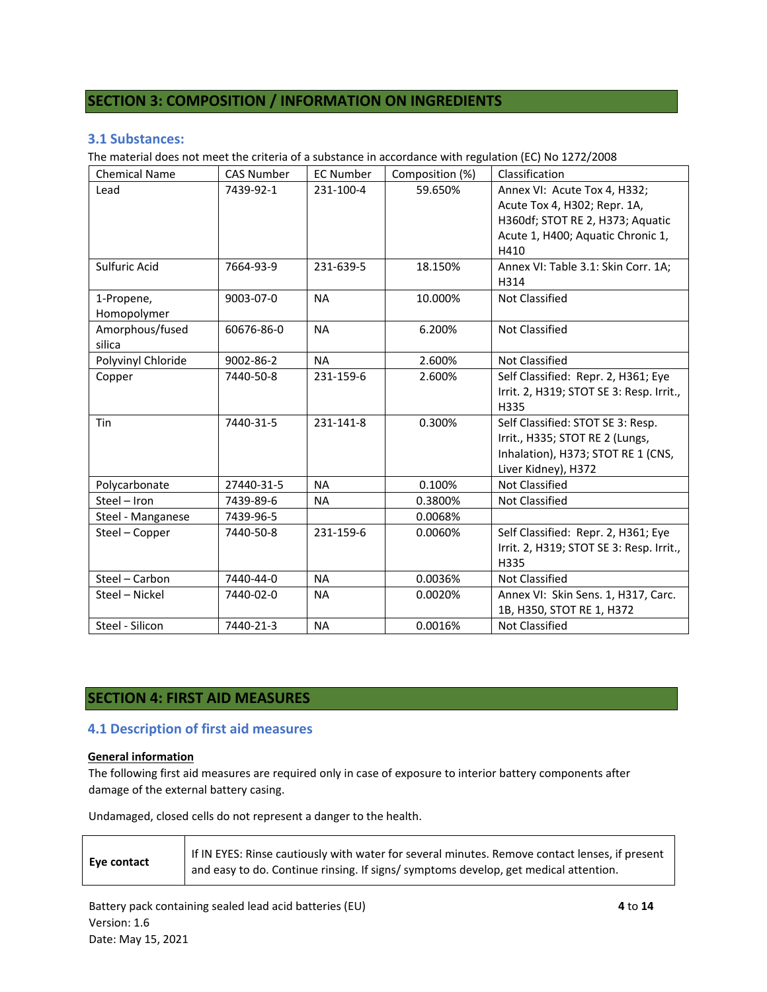#### **SECTION 3: COMPOSITION / INFORMATION ON INGREDIENTS**

#### **3.1 Substances:**

The material does not meet the criteria of a substance in accordance with regulation (EC) No 1272/2008

| <b>Chemical Name</b>      | <b>CAS Number</b> | <b>EC Number</b> | Composition (%) | Classification                                                                                                                                |
|---------------------------|-------------------|------------------|-----------------|-----------------------------------------------------------------------------------------------------------------------------------------------|
| Lead                      | 7439-92-1         | 231-100-4        | 59.650%         | Annex VI: Acute Tox 4, H332;<br>Acute Tox 4, H302; Repr. 1A,<br>H360df; STOT RE 2, H373; Aquatic<br>Acute 1, H400; Aquatic Chronic 1,<br>H410 |
| Sulfuric Acid             | 7664-93-9         | 231-639-5        | 18.150%         | Annex VI: Table 3.1: Skin Corr. 1A;<br>H314                                                                                                   |
| 1-Propene,<br>Homopolymer | 9003-07-0         | <b>NA</b>        | 10.000%         | <b>Not Classified</b>                                                                                                                         |
| Amorphous/fused<br>silica | 60676-86-0        | <b>NA</b>        | 6.200%          | Not Classified                                                                                                                                |
| Polyvinyl Chloride        | 9002-86-2         | <b>NA</b>        | 2.600%          | <b>Not Classified</b>                                                                                                                         |
| Copper                    | 7440-50-8         | 231-159-6        | 2.600%          | Self Classified: Repr. 2, H361; Eye<br>Irrit. 2, H319; STOT SE 3: Resp. Irrit.,<br>H335                                                       |
| Tin                       | 7440-31-5         | 231-141-8        | 0.300%          | Self Classified: STOT SE 3: Resp.<br>Irrit., H335; STOT RE 2 (Lungs,<br>Inhalation), H373; STOT RE 1 (CNS,<br>Liver Kidney), H372             |
| Polycarbonate             | 27440-31-5        | <b>NA</b>        | 0.100%          | <b>Not Classified</b>                                                                                                                         |
| Steel - Iron              | 7439-89-6         | <b>NA</b>        | 0.3800%         | Not Classified                                                                                                                                |
| Steel - Manganese         | 7439-96-5         |                  | 0.0068%         |                                                                                                                                               |
| Steel - Copper            | 7440-50-8         | 231-159-6        | 0.0060%         | Self Classified: Repr. 2, H361; Eye<br>Irrit. 2, H319; STOT SE 3: Resp. Irrit.,<br>H335                                                       |
| Steel - Carbon            | 7440-44-0         | <b>NA</b>        | 0.0036%         | <b>Not Classified</b>                                                                                                                         |
| Steel - Nickel            | 7440-02-0         | <b>NA</b>        | 0.0020%         | Annex VI: Skin Sens. 1, H317, Carc.<br>1B, H350, STOT RE 1, H372                                                                              |
| Steel - Silicon           | 7440-21-3         | <b>NA</b>        | 0.0016%         | <b>Not Classified</b>                                                                                                                         |

#### **SECTION 4: FIRST AID MEASURES**

#### **4.1 Description of first aid measures**

#### **General information**

The following first aid measures are required only in case of exposure to interior battery components after damage of the external battery casing.

Undamaged, closed cells do not represent a danger to the health.

| Eye contact | If IN EYES: Rinse cautiously with water for several minutes. Remove contact lenses, if present<br>and easy to do. Continue rinsing. If signs/symptoms develop, get medical attention. |
|-------------|---------------------------------------------------------------------------------------------------------------------------------------------------------------------------------------|
|             |                                                                                                                                                                                       |

Battery pack containing sealed lead acid batteries (EU) **4** to **14** Version: 1.6 Date: May 15, 2021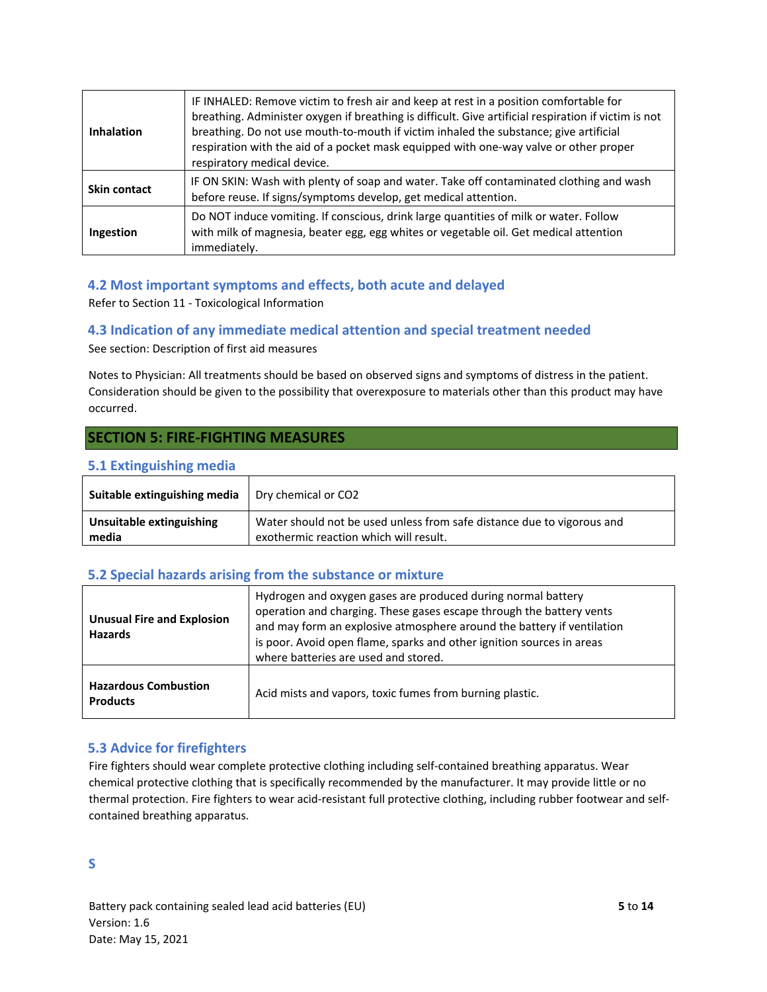| <b>Inhalation</b>   | IF INHALED: Remove victim to fresh air and keep at rest in a position comfortable for<br>breathing. Administer oxygen if breathing is difficult. Give artificial respiration if victim is not<br>breathing. Do not use mouth-to-mouth if victim inhaled the substance; give artificial<br>respiration with the aid of a pocket mask equipped with one-way valve or other proper<br>respiratory medical device. |
|---------------------|----------------------------------------------------------------------------------------------------------------------------------------------------------------------------------------------------------------------------------------------------------------------------------------------------------------------------------------------------------------------------------------------------------------|
| <b>Skin contact</b> | IF ON SKIN: Wash with plenty of soap and water. Take off contaminated clothing and wash<br>before reuse. If signs/symptoms develop, get medical attention.                                                                                                                                                                                                                                                     |
| Ingestion           | Do NOT induce vomiting. If conscious, drink large quantities of milk or water. Follow<br>with milk of magnesia, beater egg, egg whites or vegetable oil. Get medical attention<br>immediately.                                                                                                                                                                                                                 |

#### **4.2 Most important symptoms and effects, both acute and delayed**

Refer to Section 11 - Toxicological Information

#### **4.3 Indication of any immediate medical attention and special treatment needed**

See section: Description of first aid measures

Notes to Physician: All treatments should be based on observed signs and symptoms of distress in the patient. Consideration should be given to the possibility that overexposure to materials other than this product may have occurred.

#### **SECTION 5: FIRE-FIGHTING MEASURES**

#### **5.1 Extinguishing media**

| Suitable extinguishing media | Dry chemical or CO2                                                    |
|------------------------------|------------------------------------------------------------------------|
| Unsuitable extinguishing     | Water should not be used unless from safe distance due to vigorous and |
| media                        | exothermic reaction which will result.                                 |

#### **5.2 Special hazards arising from the substance or mixture**

| <b>Unusual Fire and Explosion</b><br><b>Hazards</b> | Hydrogen and oxygen gases are produced during normal battery<br>operation and charging. These gases escape through the battery vents<br>and may form an explosive atmosphere around the battery if ventilation<br>is poor. Avoid open flame, sparks and other ignition sources in areas<br>where batteries are used and stored. |
|-----------------------------------------------------|---------------------------------------------------------------------------------------------------------------------------------------------------------------------------------------------------------------------------------------------------------------------------------------------------------------------------------|
| <b>Hazardous Combustion</b><br><b>Products</b>      | Acid mists and vapors, toxic fumes from burning plastic.                                                                                                                                                                                                                                                                        |

#### **5.3 Advice for firefighters**

Fire fighters should wear complete protective clothing including self-contained breathing apparatus. Wear chemical protective clothing that is specifically recommended by the manufacturer. It may provide little or no thermal protection. Fire fighters to wear acid-resistant full protective clothing, including rubber footwear and selfcontained breathing apparatus.

**S**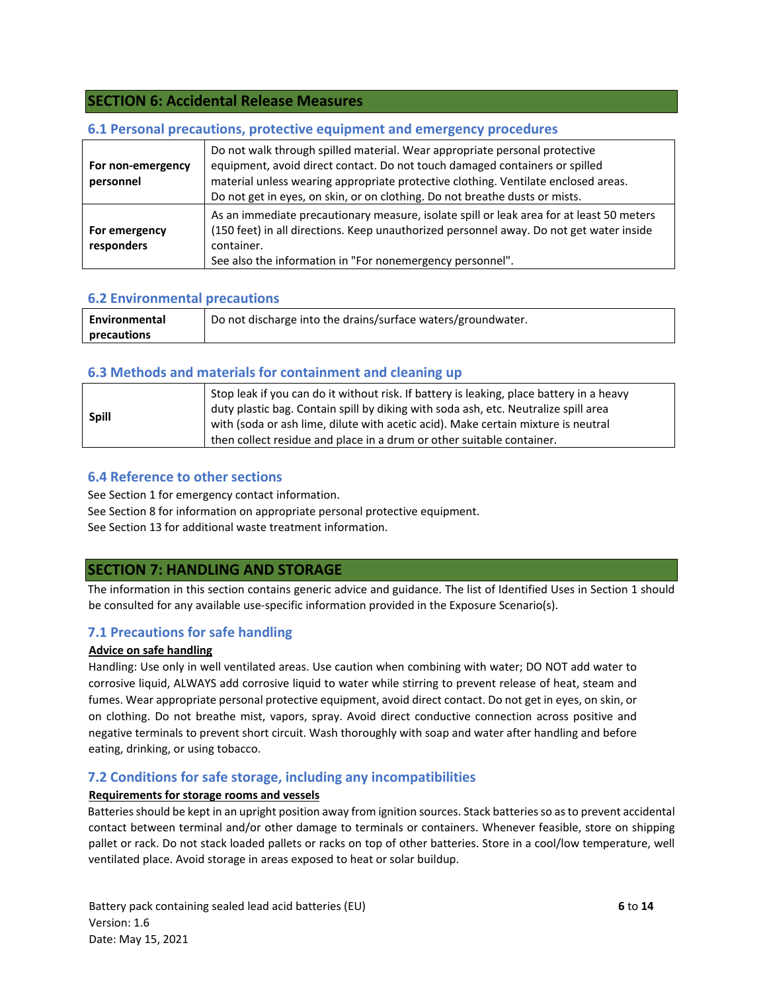#### **SECTION 6: Accidental Release Measures**

#### **6.1 Personal precautions, protective equipment and emergency procedures**

| For non-emergency<br>personnel | Do not walk through spilled material. Wear appropriate personal protective<br>equipment, avoid direct contact. Do not touch damaged containers or spilled<br>material unless wearing appropriate protective clothing. Ventilate enclosed areas.<br>Do not get in eyes, on skin, or on clothing. Do not breathe dusts or mists. |
|--------------------------------|--------------------------------------------------------------------------------------------------------------------------------------------------------------------------------------------------------------------------------------------------------------------------------------------------------------------------------|
| For emergency<br>responders    | As an immediate precautionary measure, isolate spill or leak area for at least 50 meters<br>(150 feet) in all directions. Keep unauthorized personnel away. Do not get water inside<br>container.<br>See also the information in "For nonemergency personnel".                                                                 |

#### **6.2 Environmental precautions**

| Environmental | Do not discharge into the drains/surface waters/groundwater. |
|---------------|--------------------------------------------------------------|
| precautions   |                                                              |

#### **6.3 Methods and materials for containment and cleaning up**

|              | Stop leak if you can do it without risk. If battery is leaking, place battery in a heavy<br>duty plastic bag. Contain spill by diking with soda ash, etc. Neutralize spill area |
|--------------|---------------------------------------------------------------------------------------------------------------------------------------------------------------------------------|
| <b>Spill</b> | with (soda or ash lime, dilute with acetic acid). Make certain mixture is neutral                                                                                               |
|              | then collect residue and place in a drum or other suitable container.                                                                                                           |

#### **6.4 Reference to other sections**

See Section 1 for emergency contact information.

See Section 8 for information on appropriate personal protective equipment.

See Section 13 for additional waste treatment information.

#### **SECTION 7: HANDLING AND STORAGE**

The information in this section contains generic advice and guidance. The list of Identified Uses in Section 1 should be consulted for any available use-specific information provided in the Exposure Scenario(s).

#### **7.1 Precautions for safe handling**

#### **Advice on safe handling**

Handling: Use only in well ventilated areas. Use caution when combining with water; DO NOT add water to corrosive liquid, ALWAYS add corrosive liquid to water while stirring to prevent release of heat, steam and fumes. Wear appropriate personal protective equipment, avoid direct contact. Do not get in eyes, on skin, or on clothing. Do not breathe mist, vapors, spray. Avoid direct conductive connection across positive and negative terminals to prevent short circuit. Wash thoroughly with soap and water after handling and before eating, drinking, or using tobacco.

#### **7.2 Conditions for safe storage, including any incompatibilities**

#### **Requirements for storage rooms and vessels**

Batteries should be kept in an upright position away from ignition sources. Stack batteries so as to prevent accidental contact between terminal and/or other damage to terminals or containers. Whenever feasible, store on shipping pallet or rack. Do not stack loaded pallets or racks on top of other batteries. Store in a cool/low temperature, well ventilated place. Avoid storage in areas exposed to heat or solar buildup.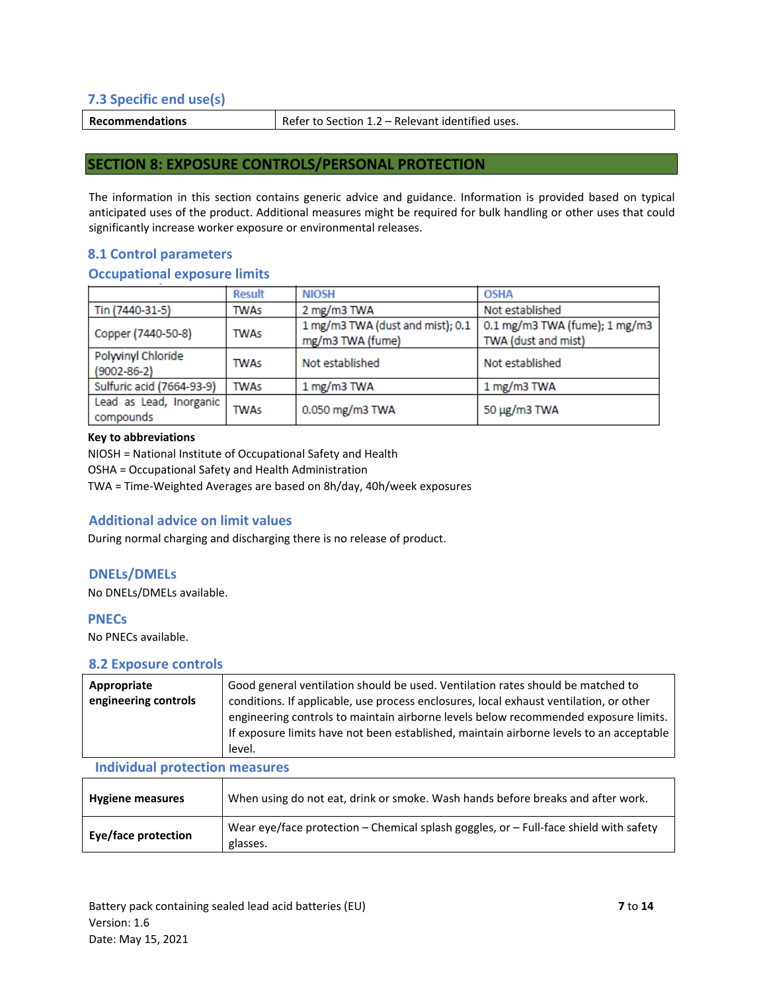#### **7.3 Specific end use(s)**

**Recommendations Refer to Section 1.2 – Relevant identified uses.** 

#### **SECTION 8: EXPOSURE CONTROLS/PERSONAL PROTECTION**

The information in this section contains generic advice and guidance. Information is provided based on typical anticipated uses of the product. Additional measures might be required for bulk handling or other uses that could significantly increase worker exposure or environmental releases.

#### **8.1 Control parameters**

#### **Occupational exposure limits**

|                                         | <b>Result</b> | <b>NIOSH</b>                                         | <b>OSHA</b>                                          |
|-----------------------------------------|---------------|------------------------------------------------------|------------------------------------------------------|
| Tin (7440-31-5)                         | <b>TWAs</b>   | 2 mg/m3 TWA                                          | Not established                                      |
| Copper (7440-50-8)                      | <b>TWAs</b>   | 1 mg/m3 TWA (dust and mist); 0.1<br>mg/m3 TWA (fume) | 0.1 mg/m3 TWA (fume); 1 mg/m3<br>TWA (dust and mist) |
| Polyvinyl Chloride<br>$(9002 - 86 - 2)$ | <b>TWAs</b>   | Not established                                      | Not established                                      |
| Sulfuric acid (7664-93-9)               | <b>TWAs</b>   | 1 mg/m3 TWA                                          | 1 mg/m3 TWA                                          |
| Lead as Lead, Inorganic<br>compounds    | <b>TWAs</b>   | 0.050 mg/m3 TWA                                      | 50 μg/m3 TWA                                         |

#### **Key to abbreviations**

NIOSH = National Institute of Occupational Safety and Health

OSHA = Occupational Safety and Health Administration

TWA = Time-Weighted Averages are based on 8h/day, 40h/week exposures

#### **Additional advice on limit values**

During normal charging and discharging there is no release of product.

#### **DNELs/DMELs**

No DNELs/DMELs available.

#### **PNECs**

No PNECs available.

#### **8.2 Exposure controls**

| Appropriate<br>engineering controls   | Good general ventilation should be used. Ventilation rates should be matched to<br>conditions. If applicable, use process enclosures, local exhaust ventilation, or other<br>engineering controls to maintain airborne levels below recommended exposure limits.<br>If exposure limits have not been established, maintain airborne levels to an acceptable<br>level. |
|---------------------------------------|-----------------------------------------------------------------------------------------------------------------------------------------------------------------------------------------------------------------------------------------------------------------------------------------------------------------------------------------------------------------------|
| <b>Individual protection measures</b> |                                                                                                                                                                                                                                                                                                                                                                       |

| <b>Hygiene measures</b> | When using do not eat, drink or smoke. Wash hands before breaks and after work.                       |
|-------------------------|-------------------------------------------------------------------------------------------------------|
| Eye/face protection     | Wear eye/face protection $-$ Chemical splash goggles, or $-$ Full-face shield with safety<br>glasses. |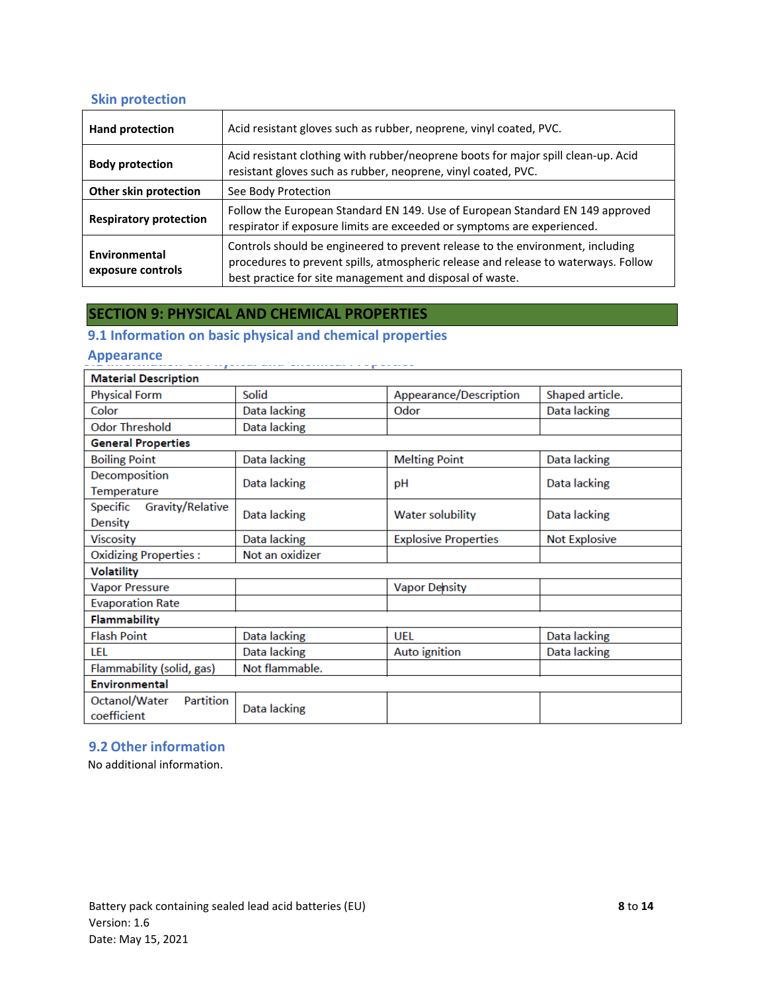#### **Skin protection**

| <b>Hand protection</b>             | Acid resistant gloves such as rubber, neoprene, vinyl coated, PVC.                                                                                                                                                               |
|------------------------------------|----------------------------------------------------------------------------------------------------------------------------------------------------------------------------------------------------------------------------------|
| <b>Body protection</b>             | Acid resistant clothing with rubber/neoprene boots for major spill clean-up. Acid<br>resistant gloves such as rubber, neoprene, vinyl coated, PVC.                                                                               |
| Other skin protection              | See Body Protection                                                                                                                                                                                                              |
| <b>Respiratory protection</b>      | Follow the European Standard EN 149. Use of European Standard EN 149 approved<br>respirator if exposure limits are exceeded or symptoms are experienced.                                                                         |
| Environmental<br>exposure controls | Controls should be engineered to prevent release to the environment, including<br>procedures to prevent spills, atmospheric release and release to waterways. Follow<br>best practice for site management and disposal of waste. |

#### **SECTION 9: PHYSICAL AND CHEMICAL PROPERTIES**

### **9.1 Information on basic physical and chemical properties**

#### **Appearance**

| <b>Material Description</b>                           |                 |                             |                      |
|-------------------------------------------------------|-----------------|-----------------------------|----------------------|
| <b>Physical Form</b>                                  | Solid           | Appearance/Description      | Shaped article.      |
| Color                                                 | Data lacking    | Odor                        | Data lacking         |
| <b>Odor Threshold</b>                                 | Data lacking    |                             |                      |
| <b>General Properties</b>                             |                 |                             |                      |
| <b>Boiling Point</b>                                  | Data lacking    | <b>Melting Point</b>        | Data lacking         |
| Decomposition<br>Temperature                          | Data lacking    | pH                          | Data lacking         |
| <b>Gravity/Relative</b><br>Specific<br><b>Density</b> | Data lacking    | <b>Water solubility</b>     | Data lacking         |
| <b>Viscosity</b>                                      | Data lacking    | <b>Explosive Properties</b> | <b>Not Explosive</b> |
| <b>Oxidizing Properties:</b>                          | Not an oxidizer |                             |                      |
| <b>Volatility</b>                                     |                 |                             |                      |
| <b>Vapor Pressure</b>                                 |                 | <b>Vapor Density</b>        |                      |
| <b>Evaporation Rate</b>                               |                 |                             |                      |
| Flammability                                          |                 |                             |                      |
| <b>Flash Point</b>                                    | Data lacking    | UFL                         | Data lacking         |
| LEL                                                   | Data lacking    | Auto ignition               | Data lacking         |
| Flammability (solid, gas)                             | Not flammable.  |                             |                      |
| <b>Environmental</b>                                  |                 |                             |                      |
| Octanol/Water<br>Partition<br>coefficient             | Data lacking    |                             |                      |

#### **9.2 Other information**

No additional information.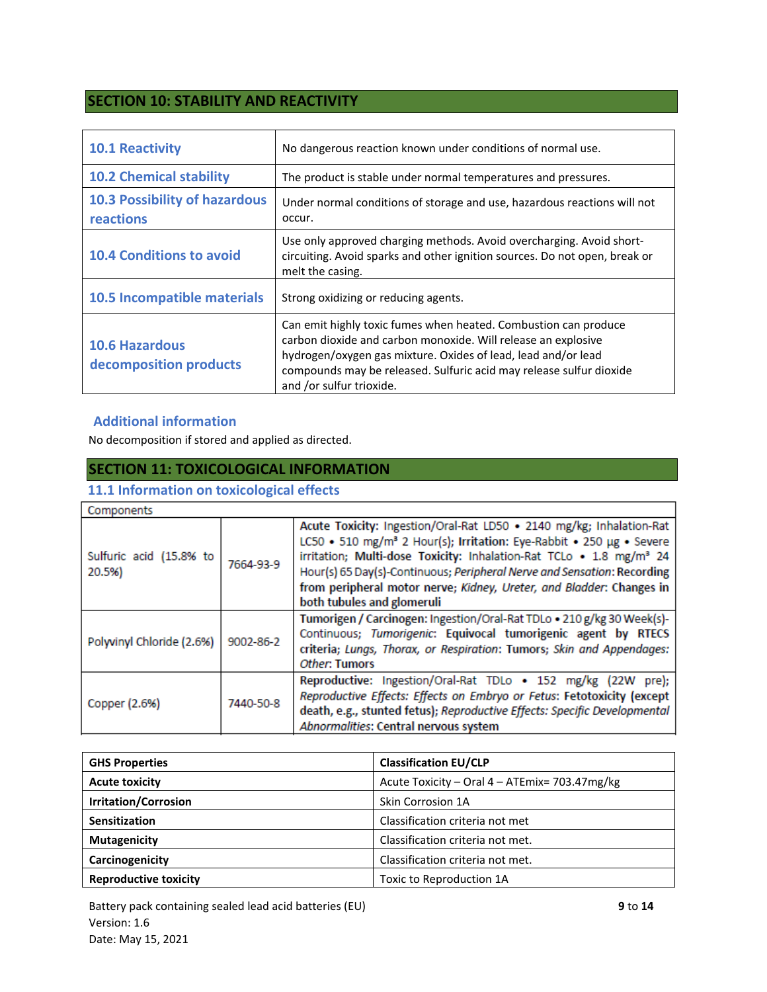### **SECTION 10: STABILITY AND REACTIVITY**

| <b>10.1 Reactivity</b>                            | No dangerous reaction known under conditions of normal use.                                                                                                                                                                                                                                          |
|---------------------------------------------------|------------------------------------------------------------------------------------------------------------------------------------------------------------------------------------------------------------------------------------------------------------------------------------------------------|
| <b>10.2 Chemical stability</b>                    | The product is stable under normal temperatures and pressures.                                                                                                                                                                                                                                       |
| <b>10.3 Possibility of hazardous</b><br>reactions | Under normal conditions of storage and use, hazardous reactions will not<br>occur.                                                                                                                                                                                                                   |
| <b>10.4 Conditions to avoid</b>                   | Use only approved charging methods. Avoid overcharging. Avoid short-<br>circuiting. Avoid sparks and other ignition sources. Do not open, break or<br>melt the casing.                                                                                                                               |
| 10.5 Incompatible materials                       | Strong oxidizing or reducing agents.                                                                                                                                                                                                                                                                 |
| <b>10.6 Hazardous</b><br>decomposition products   | Can emit highly toxic fumes when heated. Combustion can produce<br>carbon dioxide and carbon monoxide. Will release an explosive<br>hydrogen/oxygen gas mixture. Oxides of lead, lead and/or lead<br>compounds may be released. Sulfuric acid may release sulfur dioxide<br>and /or sulfur trioxide. |

#### **Additional information**

No decomposition if stored and applied as directed.

#### **SECTION 11: TOXICOLOGICAL INFORMATION**

#### **11.1 Information on toxicological effects**

| Components                        |           |                                                                                                                                                                                                                                                                                                                                                                                                                              |  |
|-----------------------------------|-----------|------------------------------------------------------------------------------------------------------------------------------------------------------------------------------------------------------------------------------------------------------------------------------------------------------------------------------------------------------------------------------------------------------------------------------|--|
| Sulfuric acid (15.8% to<br>20.5%) | 7664-93-9 | Acute Toxicity: Ingestion/Oral-Rat LD50 . 2140 mg/kg; Inhalation-Rat<br>LC50 • 510 mg/m <sup>3</sup> 2 Hour(s); Irritation: Eye-Rabbit • 250 µg • Severe<br>irritation; Multi-dose Toxicity: Inhalation-Rat TCLo . 1.8 mg/m <sup>3</sup> 24<br>Hour(s) 65 Day(s)-Continuous; Peripheral Nerve and Sensation: Recording<br>from peripheral motor nerve; Kidney, Ureter, and Bladder: Changes in<br>both tubules and glomeruli |  |
| Polyvinyl Chloride (2.6%)         | 9002-86-2 | Tumorigen / Carcinogen: Ingestion/Oral-Rat TDLo . 210 g/kg 30 Week(s)-<br>Continuous; Tumorigenic: Equivocal tumorigenic agent by RTECS<br>criteria; Lungs, Thorax, or Respiration: Tumors; Skin and Appendages:<br>Other: Tumors                                                                                                                                                                                            |  |
| Copper (2.6%)                     | 7440-50-8 | Reproductive: Ingestion/Oral-Rat TDLo . 152 mg/kg (22W pre);<br>Reproductive Effects: Effects on Embryo or Fetus: Fetotoxicity (except<br>death, e.g., stunted fetus); Reproductive Effects: Specific Developmental<br>Abnormalities: Central nervous system                                                                                                                                                                 |  |

| <b>GHS Properties</b>        | <b>Classification EU/CLP</b>                  |
|------------------------------|-----------------------------------------------|
| <b>Acute toxicity</b>        | Acute Toxicity - Oral 4 - ATEmix= 703.47mg/kg |
| <b>Irritation/Corrosion</b>  | Skin Corrosion 1A                             |
| Sensitization                | Classification criteria not met               |
| <b>Mutagenicity</b>          | Classification criteria not met.              |
| Carcinogenicity              | Classification criteria not met.              |
| <b>Reproductive toxicity</b> | Toxic to Reproduction 1A                      |

Battery pack containing sealed lead acid batteries (EU) **9** to **14** Version: 1.6 Date: May 15, 2021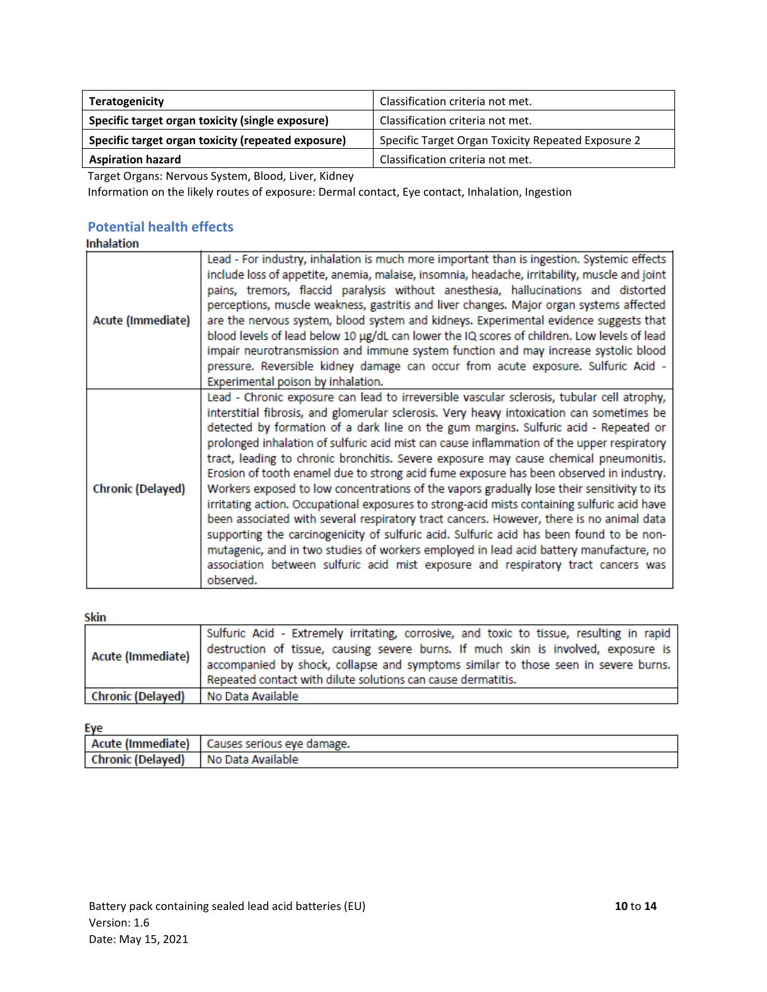| Teratogenicity                                     | Classification criteria not met.                   |
|----------------------------------------------------|----------------------------------------------------|
| Specific target organ toxicity (single exposure)   | Classification criteria not met.                   |
| Specific target organ toxicity (repeated exposure) | Specific Target Organ Toxicity Repeated Exposure 2 |
| <b>Aspiration hazard</b>                           | Classification criteria not met.                   |

Target Organs: Nervous System, Blood, Liver, Kidney

Information on the likely routes of exposure: Dermal contact, Eye contact, Inhalation, Ingestion

# **Potential health effects**

| Acute (Immediate)        | Lead - For industry, inhalation is much more important than is ingestion. Systemic effects<br>include loss of appetite, anemia, malaise, insomnia, headache, irritability, muscle and joint<br>pains, tremors, flaccid paralysis without anesthesia, hallucinations and distorted<br>perceptions, muscle weakness, gastritis and liver changes. Major organ systems affected<br>are the nervous system, blood system and kidneys. Experimental evidence suggests that<br>blood levels of lead below 10 µg/dL can lower the IQ scores of children. Low levels of lead<br>impair neurotransmission and immune system function and may increase systolic blood<br>pressure. Reversible kidney damage can occur from acute exposure. Sulfuric Acid -<br>Experimental poison by inhalation.                                                                                                                                                                                                                                                                                                                                                               |
|--------------------------|------------------------------------------------------------------------------------------------------------------------------------------------------------------------------------------------------------------------------------------------------------------------------------------------------------------------------------------------------------------------------------------------------------------------------------------------------------------------------------------------------------------------------------------------------------------------------------------------------------------------------------------------------------------------------------------------------------------------------------------------------------------------------------------------------------------------------------------------------------------------------------------------------------------------------------------------------------------------------------------------------------------------------------------------------------------------------------------------------------------------------------------------------|
| <b>Chronic (Delayed)</b> | Lead - Chronic exposure can lead to irreversible vascular sclerosis, tubular cell atrophy,<br>interstitial fibrosis, and glomerular sclerosis. Very heavy intoxication can sometimes be<br>detected by formation of a dark line on the gum margins. Sulfuric acid - Repeated or<br>prolonged inhalation of sulfuric acid mist can cause inflammation of the upper respiratory<br>tract, leading to chronic bronchitis. Severe exposure may cause chemical pneumonitis.<br>Erosion of tooth enamel due to strong acid fume exposure has been observed in industry.<br>Workers exposed to low concentrations of the vapors gradually lose their sensitivity to its<br>irritating action. Occupational exposures to strong-acid mists containing sulfuric acid have<br>been associated with several respiratory tract cancers. However, there is no animal data<br>supporting the carcinogenicity of sulfuric acid. Sulfuric acid has been found to be non-<br>mutagenic, and in two studies of workers employed in lead acid battery manufacture, no<br>association between sulfuric acid mist exposure and respiratory tract cancers was<br>observed. |

#### Skin

| Acute (Immediate) | Sulfuric Acid - Extremely irritating, corrosive, and toxic to tissue, resulting in rapid<br>destruction of tissue, causing severe burns. If much skin is involved, exposure is<br>accompanied by shock, collapse and symptoms similar to those seen in severe burns.<br>Repeated contact with dilute solutions can cause dermatitis. |
|-------------------|--------------------------------------------------------------------------------------------------------------------------------------------------------------------------------------------------------------------------------------------------------------------------------------------------------------------------------------|
| Chronic (Delayed) | No Data Available                                                                                                                                                                                                                                                                                                                    |

#### Eye

|                          | Acute (Immediate)   Causes serious eye damage. |
|--------------------------|------------------------------------------------|
| <b>Chronic (Delayed)</b> | No Data Available                              |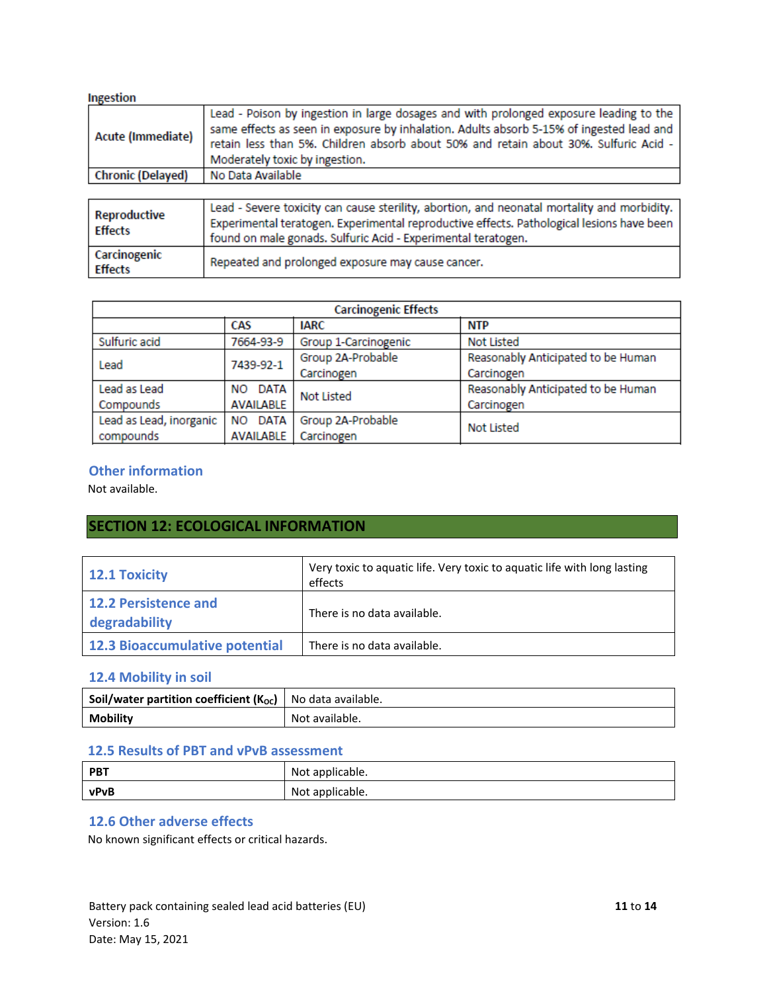| Ingestion                      |                                                                                                                                                                                                                                                                                                              |
|--------------------------------|--------------------------------------------------------------------------------------------------------------------------------------------------------------------------------------------------------------------------------------------------------------------------------------------------------------|
| Acute (Immediate)              | Lead - Poison by ingestion in large dosages and with prolonged exposure leading to the<br>same effects as seen in exposure by inhalation. Adults absorb 5-15% of ingested lead and<br>retain less than 5%. Children absorb about 50% and retain about 30%. Sulfuric Acid -<br>Moderately toxic by ingestion. |
| <b>Chronic (Delayed)</b>       | No Data Available                                                                                                                                                                                                                                                                                            |
|                                |                                                                                                                                                                                                                                                                                                              |
| Reproductive<br><b>Effects</b> | Lead - Severe toxicity can cause sterility, abortion, and neonatal mortality and morbidity.<br>Experimental teratogen. Experimental reproductive effects. Pathological lesions have been<br>found on male gonads. Sulfuric Acid - Experimental teratogen.                                                    |
| Carcinogenic<br><b>Effects</b> | Repeated and prolonged exposure may cause cancer.                                                                                                                                                                                                                                                            |

| <b>Carcinogenic Effects</b> |                                  |                      |                                    |  |  |  |
|-----------------------------|----------------------------------|----------------------|------------------------------------|--|--|--|
|                             | CAS<br><b>IARC</b><br><b>NTP</b> |                      |                                    |  |  |  |
| Sulfuric acid               | 7664-93-9                        | Group 1-Carcinogenic | <b>Not Listed</b>                  |  |  |  |
| Lead                        | 7439-92-1                        | Group 2A-Probable    | Reasonably Anticipated to be Human |  |  |  |
|                             |                                  | Carcinogen           | Carcinogen                         |  |  |  |
| Lead as Lead                | NO DATA                          | <b>Not Listed</b>    | Reasonably Anticipated to be Human |  |  |  |
| Compounds                   | <b>AVAILABLE</b>                 |                      | Carcinogen                         |  |  |  |
| Lead as Lead, inorganic     | DATA<br>NO.                      | Group 2A-Probable    | <b>Not Listed</b>                  |  |  |  |
| compounds                   | <b>AVAILABLE</b>                 | Carcinogen           |                                    |  |  |  |

#### **Other information**

Not available.

### **SECTION 12: ECOLOGICAL INFORMATION**

| <b>12.1 Toxicity</b>                         | Very toxic to aquatic life. Very toxic to aquatic life with long lasting<br>effects |  |  |  |
|----------------------------------------------|-------------------------------------------------------------------------------------|--|--|--|
| <b>12.2 Persistence and</b><br>degradability | There is no data available.                                                         |  |  |  |
| <b>12.3 Bioaccumulative potential</b>        | There is no data available.                                                         |  |  |  |

#### **12.4 Mobility in soil**

| <b>Soil/water partition coefficient (K<sub>oc</sub>)</b>   No data available. |                |
|-------------------------------------------------------------------------------|----------------|
| <b>Mobility</b>                                                               | Not available. |

#### **12.5 Results of PBT and vPvB assessment**

| <b>PBT</b> | Not applicable. |
|------------|-----------------|
| vPvB       | Not applicable. |

#### **12.6 Other adverse effects**

No known significant effects or critical hazards.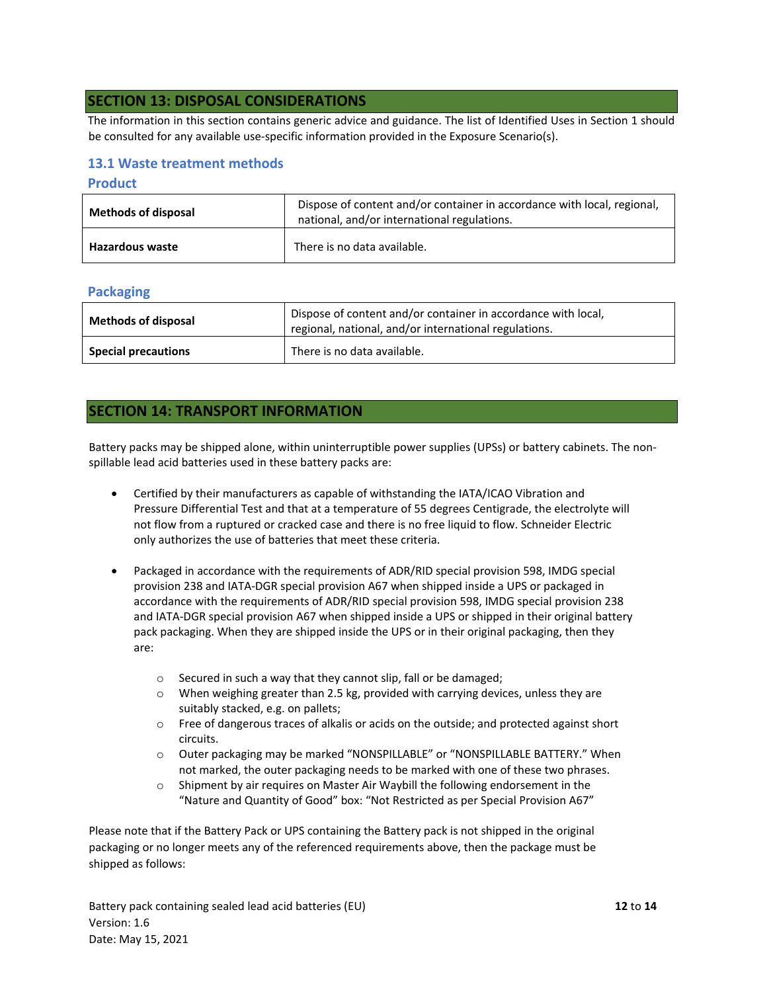#### **SECTION 13: DISPOSAL CONSIDERATIONS**

The information in this section contains generic advice and guidance. The list of Identified Uses in Section 1 should be consulted for any available use-specific information provided in the Exposure Scenario(s).

#### **13.1 Waste treatment methods**

#### **Product**

| <b>Methods of disposal</b> | Dispose of content and/or container in accordance with local, regional,<br>national, and/or international regulations. |  |  |  |  |
|----------------------------|------------------------------------------------------------------------------------------------------------------------|--|--|--|--|
| <b>Hazardous waste</b>     | There is no data available.                                                                                            |  |  |  |  |

#### **Packaging**

| <b>Methods of disposal</b> | Dispose of content and/or container in accordance with local,<br>regional, national, and/or international regulations. |  |  |
|----------------------------|------------------------------------------------------------------------------------------------------------------------|--|--|
| <b>Special precautions</b> | There is no data available.                                                                                            |  |  |

#### **SECTION 14: TRANSPORT INFORMATION**

Battery packs may be shipped alone, within uninterruptible power supplies (UPSs) or battery cabinets. The nonspillable lead acid batteries used in these battery packs are:

- Certified by their manufacturers as capable of withstanding the IATA/ICAO Vibration and Pressure Differential Test and that at a temperature of 55 degrees Centigrade, the electrolyte will not flow from a ruptured or cracked case and there is no free liquid to flow. Schneider Electric only authorizes the use of batteries that meet these criteria.
- Packaged in accordance with the requirements of ADR/RID special provision 598, IMDG special provision 238 and IATA-DGR special provision A67 when shipped inside a UPS or packaged in accordance with the requirements of ADR/RID special provision 598, IMDG special provision 238 and IATA-DGR special provision A67 when shipped inside a UPS or shipped in their original battery pack packaging. When they are shipped inside the UPS or in their original packaging, then they are:
	- o Secured in such a way that they cannot slip, fall or be damaged;
	- $\circ$  When weighing greater than 2.5 kg, provided with carrying devices, unless they are suitably stacked, e.g. on pallets;
	- o Free of dangerous traces of alkalis or acids on the outside; and protected against short circuits.
	- o Outer packaging may be marked "NONSPILLABLE" or "NONSPILLABLE BATTERY." When not marked, the outer packaging needs to be marked with one of these two phrases.
	- o Shipment by air requires on Master Air Waybill the following endorsement in the "Nature and Quantity of Good" box: "Not Restricted as per Special Provision A67"

Please note that if the Battery Pack or UPS containing the Battery pack is not shipped in the original packaging or no longer meets any of the referenced requirements above, then the package must be shipped as follows:

Battery pack containing sealed lead acid batteries (EU) **12** to **14** Version: 1.6 Date: May 15, 2021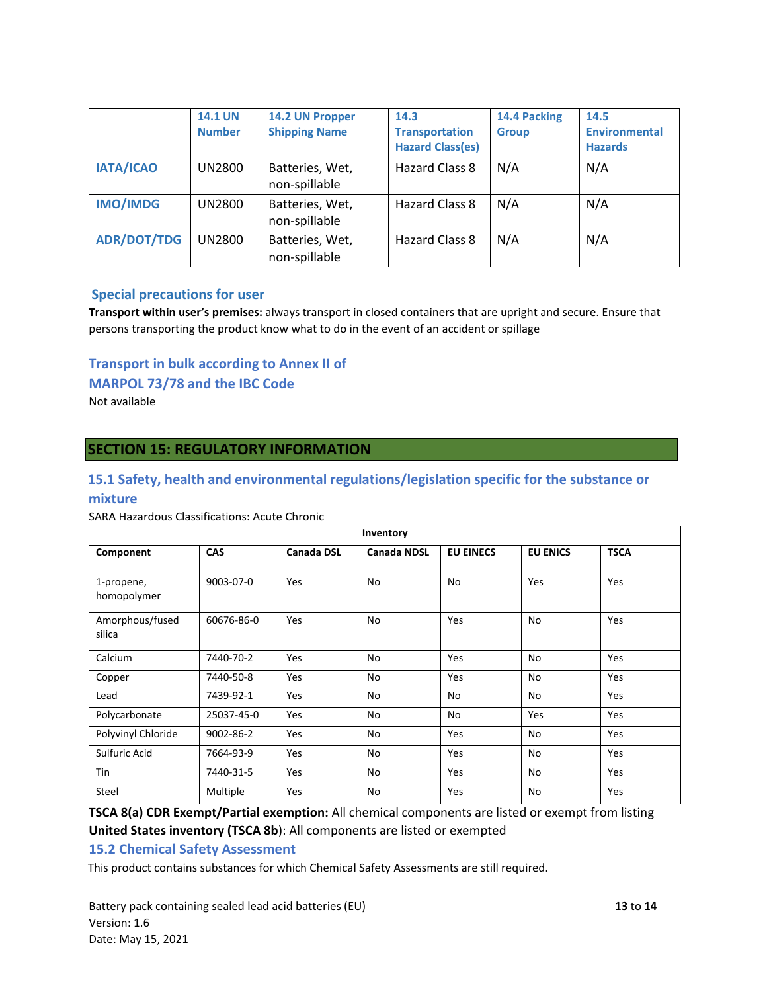|                    | <b>14.1 UN</b><br><b>Number</b> | 14.2 UN Propper<br><b>Shipping Name</b> | 14.3<br><b>Transportation</b><br><b>Hazard Class(es)</b> | 14.4 Packing<br><b>Group</b> | 14.5<br><b>Environmental</b><br><b>Hazards</b> |
|--------------------|---------------------------------|-----------------------------------------|----------------------------------------------------------|------------------------------|------------------------------------------------|
| <b>IATA/ICAO</b>   | UN2800                          | Batteries, Wet,<br>non-spillable        | Hazard Class 8                                           | N/A                          | N/A                                            |
| <b>IMO/IMDG</b>    | UN2800                          | Batteries, Wet,<br>non-spillable        | Hazard Class 8                                           | N/A                          | N/A                                            |
| <b>ADR/DOT/TDG</b> | UN2800                          | Batteries, Wet,<br>non-spillable        | Hazard Class 8                                           | N/A                          | N/A                                            |

#### **Special precautions for user**

**Transport within user's premises:** always transport in closed containers that are upright and secure. Ensure that persons transporting the product know what to do in the event of an accident or spillage

#### **Transport in bulk according to Annex II of**

#### **MARPOL 73/78 and the IBC Code**

Not available

#### **SECTION 15: REGULATORY INFORMATION**

# **15.1 Safety, health and environmental regulations/legislation specific for the substance or**

#### **mixture**

SARA Hazardous Classifications: Acute Chronic

| Inventory                 |            |            |                    |                  |                 |             |
|---------------------------|------------|------------|--------------------|------------------|-----------------|-------------|
| Component                 | <b>CAS</b> | Canada DSL | <b>Canada NDSL</b> | <b>EU EINECS</b> | <b>EU ENICS</b> | <b>TSCA</b> |
| 1-propene,<br>homopolymer | 9003-07-0  | Yes        | No                 | No               | Yes             | Yes         |
| Amorphous/fused<br>silica | 60676-86-0 | Yes        | No                 | Yes              | No              | Yes         |
| Calcium                   | 7440-70-2  | Yes        | No                 | Yes              | No              | Yes         |
| Copper                    | 7440-50-8  | Yes        | No                 | Yes              | No              | Yes         |
| Lead                      | 7439-92-1  | Yes        | No                 | No               | No              | Yes         |
| Polycarbonate             | 25037-45-0 | Yes        | No                 | No               | Yes             | Yes         |
| Polyvinyl Chloride        | 9002-86-2  | Yes        | No                 | Yes              | No              | Yes         |
| Sulfuric Acid             | 7664-93-9  | Yes        | No                 | Yes              | No              | Yes         |
| Tin                       | 7440-31-5  | Yes        | No                 | Yes              | No              | Yes         |
| Steel                     | Multiple   | Yes        | No                 | Yes              | No              | Yes         |

**TSCA 8(a) CDR Exempt/Partial exemption:** All chemical components are listed or exempt from listing **United States inventory (TSCA 8b**): All components are listed or exempted

#### **15.2 Chemical Safety Assessment**

This product contains substances for which Chemical Safety Assessments are still required.